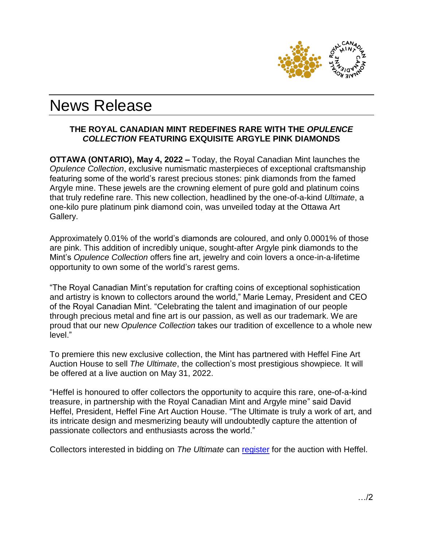

# News Release

## **THE ROYAL CANADIAN MINT REDEFINES RARE WITH THE** *OPULENCE COLLECTION* **FEATURING EXQUISITE ARGYLE PINK DIAMONDS**

**OTTAWA (ONTARIO), May 4, 2022 –** Today, the Royal Canadian Mint launches the *Opulence Collection*, exclusive numismatic masterpieces of exceptional craftsmanship featuring some of the world's rarest precious stones: pink diamonds from the famed Argyle mine. These jewels are the crowning element of pure gold and platinum coins that truly redefine rare. This new collection, headlined by the one-of-a-kind *Ultimate*, a one-kilo pure platinum pink diamond coin, was unveiled today at the Ottawa Art Gallery.

Approximately 0.01% of the world's diamonds are coloured, and only 0.0001% of those are pink. This addition of incredibly unique, sought-after Argyle pink diamonds to the Mint's *Opulence Collection* offers fine art, jewelry and coin lovers a once-in-a-lifetime opportunity to own some of the world's rarest gems.

"The Royal Canadian Mint's reputation for crafting coins of exceptional sophistication and artistry is known to collectors around the world," Marie Lemay, President and CEO of the Royal Canadian Mint. "Celebrating the talent and imagination of our people through precious metal and fine art is our passion, as well as our trademark. We are proud that our new *Opulence Collection* takes our tradition of excellence to a whole new level."

To premiere this new exclusive collection, the Mint has partnered with Heffel Fine Art Auction House to sell *The Ultimate*, the collection's most prestigious showpiece*.* It will be offered at a live auction on May 31, 2022.

"Heffel is honoured to offer collectors the opportunity to acquire this rare, one-of-a-kind treasure, in partnership with the Royal Canadian Mint and Argyle mine" said David Heffel, President, Heffel Fine Art Auction House. "The Ultimate is truly a work of art, and its intricate design and mesmerizing beauty will undoubtedly capture the attention of passionate collectors and enthusiasts across the world."

Collectors interested in bidding on *The Ultimate* can [register](https://www.heffel.com/Auction/IndexMulti_E) for the auction with Heffel.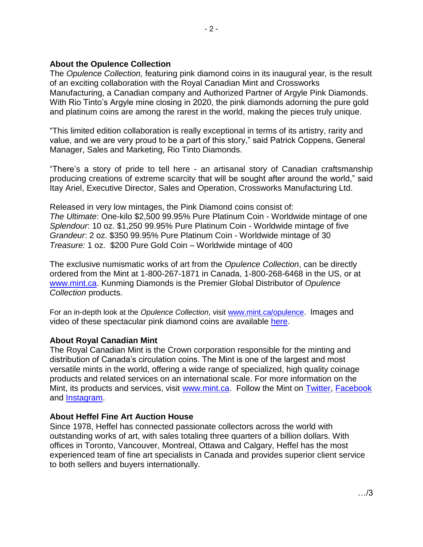### **About the Opulence Collection**

The *Opulence Collection,* featuring pink diamond coins in its inaugural year*,* is the result of an exciting collaboration with the Royal Canadian Mint and Crossworks Manufacturing, a Canadian company and Authorized Partner of Argyle Pink Diamonds. With Rio Tinto's Argyle mine closing in 2020, the pink diamonds adorning the pure gold and platinum coins are among the rarest in the world, making the pieces truly unique.

"This limited edition collaboration is really exceptional in terms of its artistry, rarity and value, and we are very proud to be a part of this story," said Patrick Coppens, General Manager, Sales and Marketing, Rio Tinto Diamonds.

"There's a story of pride to tell here - an artisanal story of Canadian craftsmanship producing creations of extreme scarcity that will be sought after around the world," said Itay Ariel, Executive Director, Sales and Operation, Crossworks Manufacturing Ltd.

Released in very low mintages, the Pink Diamond coins consist of: *The Ultimate*: One-kilo \$2,500 99.95% Pure Platinum Coin - Worldwide mintage of one *Splendour*: 10 oz. \$1,250 99.95% Pure Platinum Coin - Worldwide mintage of five *Grandeur*: 2 oz. \$350 99.95% Pure Platinum Coin - Worldwide mintage of 30 *Treasure:* 1 oz. \$200 Pure Gold Coin – Worldwide mintage of 400

The exclusive numismatic works of art from the *Opulence Collection*, can be directly ordered from the Mint at 1-800-267-1871 in Canada, 1-800-268-6468 in the US, or at [www.mint.ca.](http://www.mint.ca/) Kunming Diamonds is the Premier Global Distributor of *Opulence Collection* products.

For an in-depth look at the *Opulence Collection*, visit [www.mint.ca/opulence.](http://www.mint.ca/opulence) Images and video of these spectacular pink diamond coins are available [here.](https://www.dropbox.com/sh/znrse2semxlexga/AABfQtVy6KKpC_PXKf6k8dkJa?dl=0)

#### **About Royal Canadian Mint**

The Royal Canadian Mint is the Crown corporation responsible for the minting and distribution of Canada's circulation coins. The Mint is one of the largest and most versatile mints in the world, offering a wide range of specialized, high quality coinage products and related services on an international scale. For more information on the Mint, its products and services, visit [www.mint.ca.](http://www.mint.ca/) Follow the Mint on [Twitter,](https://twitter.com/CanadianMint) [Facebook](https://www.facebook.com/CanadianMint/) and [Instagram.](https://www.instagram.com/canadianmint/)

#### **About Heffel Fine Art Auction House**

Since 1978, Heffel has connected passionate collectors across the world with outstanding works of art, with sales totaling three quarters of a billion dollars. With offices in Toronto, Vancouver, Montreal, Ottawa and Calgary, Heffel has the most experienced team of fine art specialists in Canada and provides superior client service to both sellers and buyers internationally.